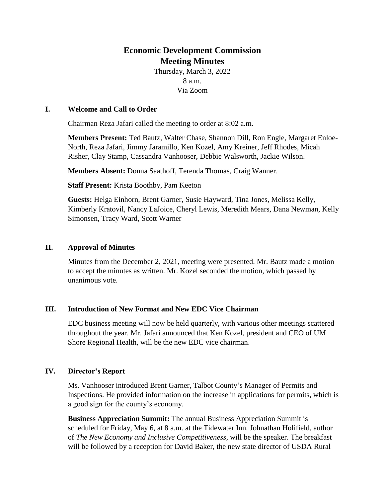# **Economic Development Commission Meeting Minutes**

Thursday, March 3, 2022 8 a.m. Via Zoom

#### **I. Welcome and Call to Order**

Chairman Reza Jafari called the meeting to order at 8:02 a.m.

**Members Present:** Ted Bautz, Walter Chase, Shannon Dill, Ron Engle, Margaret Enloe-North, Reza Jafari, Jimmy Jaramillo, Ken Kozel, Amy Kreiner, Jeff Rhodes, Micah Risher, Clay Stamp, Cassandra Vanhooser, Debbie Walsworth, Jackie Wilson.

**Members Absent:** Donna Saathoff, Terenda Thomas, Craig Wanner.

**Staff Present:** Krista Boothby, Pam Keeton

**Guests:** Helga Einhorn, Brent Garner, Susie Hayward, Tina Jones, Melissa Kelly, Kimberly Kratovil, Nancy LaJoice, Cheryl Lewis, Meredith Mears, Dana Newman, Kelly Simonsen, Tracy Ward, Scott Warner

#### **II. Approval of Minutes**

Minutes from the December 2, 2021, meeting were presented. Mr. Bautz made a motion to accept the minutes as written. Mr. Kozel seconded the motion, which passed by unanimous vote.

### **III. Introduction of New Format and New EDC Vice Chairman**

EDC business meeting will now be held quarterly, with various other meetings scattered throughout the year. Mr. Jafari announced that Ken Kozel, president and CEO of UM Shore Regional Health, will be the new EDC vice chairman.

### **IV. Director's Report**

Ms. Vanhooser introduced Brent Garner, Talbot County's Manager of Permits and Inspections. He provided information on the increase in applications for permits, which is a good sign for the county's economy.

**Business Appreciation Summit:** The annual Business Appreciation Summit is scheduled for Friday, May 6, at 8 a.m. at the Tidewater Inn. Johnathan Holifield, author of *The New Economy and Inclusive Competitiveness*, will be the speaker. The breakfast will be followed by a reception for David Baker, the new state director of USDA Rural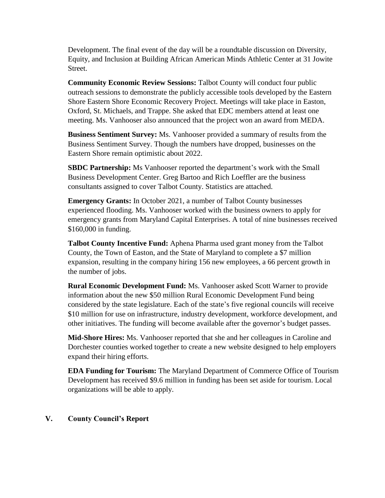Development. The final event of the day will be a roundtable discussion on Diversity, Equity, and Inclusion at Building African American Minds Athletic Center at 31 Jowite Street.

**Community Economic Review Sessions:** Talbot County will conduct four public outreach sessions to demonstrate the publicly accessible tools developed by the Eastern Shore Eastern Shore Economic Recovery Project. Meetings will take place in Easton, Oxford, St. Michaels, and Trappe. She asked that EDC members attend at least one meeting. Ms. Vanhooser also announced that the project won an award from MEDA.

**Business Sentiment Survey:** Ms. Vanhooser provided a summary of results from the Business Sentiment Survey. Though the numbers have dropped, businesses on the Eastern Shore remain optimistic about 2022.

**SBDC Partnership:** Ms Vanhooser reported the department's work with the Small Business Development Center. Greg Bartoo and Rich Loeffler are the business consultants assigned to cover Talbot County. Statistics are attached.

**Emergency Grants:** In October 2021, a number of Talbot County businesses experienced flooding. Ms. Vanhooser worked with the business owners to apply for emergency grants from Maryland Capital Enterprises. A total of nine businesses received \$160,000 in funding.

**Talbot County Incentive Fund:** Aphena Pharma used grant money from the Talbot County, the Town of Easton, and the State of Maryland to complete a \$7 million expansion, resulting in the company hiring 156 new employees, a 66 percent growth in the number of jobs.

**Rural Economic Development Fund:** Ms. Vanhooser asked Scott Warner to provide information about the new \$50 million Rural Economic Development Fund being considered by the state legislature. Each of the state's five regional councils will receive \$10 million for use on infrastructure, industry development, workforce development, and other initiatives. The funding will become available after the governor's budget passes.

**Mid-Shore Hires:** Ms. Vanhooser reported that she and her colleagues in Caroline and Dorchester counties worked together to create a new website designed to help employers expand their hiring efforts.

**EDA Funding for Tourism:** The Maryland Department of Commerce Office of Tourism Development has received \$9.6 million in funding has been set aside for tourism. Local organizations will be able to apply.

# **V. County Council's Report**